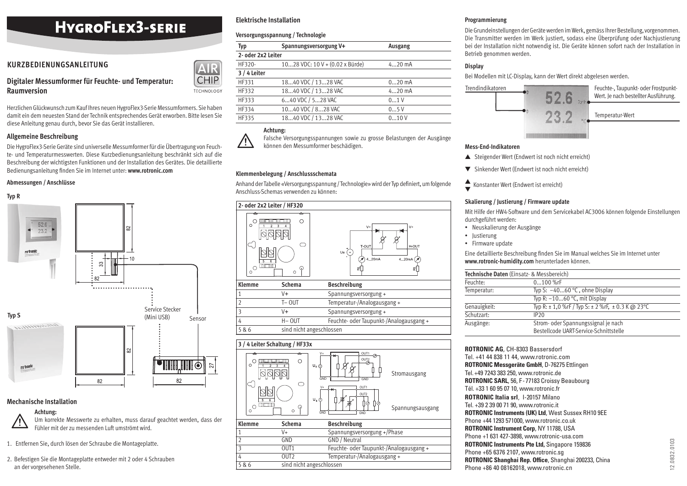# **HYGROFLEX3-SERIE**

# **KURZBEDIENUNGSANLEITUNG**

# **Raumversion**

Herzlichen Glückwunsch zum Kauf Ihres neuen HygroFlex3-Serie Messumformers. Sie haben damit ein dem neuesten Stand der Technik entsprechendes Gerät erworben. Bitte lesen Sie diese Anleitung genau durch, bevor Sie das Gerät installieren.

#### **Allgemeine Beschreibung**

Die HygroFlex3-Serie Geräte sind universelle Messumformer für die Übertragung von Feuchte- und Temperaturmesswerten. Diese Kurzbedienungsanleitung beschränkt sich auf die Beschreibung der wichtigsten Funktionen und der Installation des Gerätes. Die detaillierte Bedienungsanleitung finden Sie im Internet unter: www.rotronic.com

#### **Abmessungen / Anschlüsse**

#### **Typ R**



#### **Mechanische Installation**

# **Achtung:**

 $\triangle$ 

Um korrekte Messwerte zu erhalten, muss darauf geachtet werden, dass der Fühler mit der zu messenden Luft umströmt wird.

- 1. Entfernen Sie, durch lösen der Schraube die Montageplatte.
- 2. Befestigen Sie die Montageplatte entweder mit 2 oder 4 Schrauben an der vorgesehenen Stelle.

## **Elektrische Installation**

#### **Versorgungsspannung / Technologie**

|                                                                                                                                                                                                                                                                                                                                          |             | Typ                | Spannungsversorgung V+          | Ausgang  | bei der Installatio |
|------------------------------------------------------------------------------------------------------------------------------------------------------------------------------------------------------------------------------------------------------------------------------------------------------------------------------------------|-------------|--------------------|---------------------------------|----------|---------------------|
|                                                                                                                                                                                                                                                                                                                                          |             | 2- oder 2x2 Leiter |                                 |          | Betrieb genomme     |
| KURZBEDIENUNGSANLEITUNG                                                                                                                                                                                                                                                                                                                  | [AlR]       | HF320-             | 1028 VDC: 10 V + (0.02 x Bürde) | $420$ mA | <b>Display</b>      |
|                                                                                                                                                                                                                                                                                                                                          |             | 3 / 4 Leiter       |                                 |          | Bei Modellen mit    |
| Digitaler Messumformer für Feuchte- und Temperatur:                                                                                                                                                                                                                                                                                      | <b>CHIP</b> | HF331              | 1840 VDC / 1328 VAC             | $020$ mA |                     |
| <b>Raumversion</b>                                                                                                                                                                                                                                                                                                                       | TECHNOLOGY  | HF332              | 1840 VDC / 1328 VAC             | $420$ mA | Trendindikatoren    |
|                                                                                                                                                                                                                                                                                                                                          |             | HF333              | 640 VDC / 528 VAC               | 01V      |                     |
| Herzlichen Glückwunsch zum Kauf Ihres neuen HygroFlex 3-Serie Messumformers. Sie haben<br>damit ein dem neuesten Stand der Technik entsprechendes Gerät erworben. Bitte lesen Sie<br>$\mathbf{P}$ and $\mathbf{P}$ are the set of $\mathbf{P}$ and $\mathbf{P}$ are the set of $\mathbf{P}$ and $\mathbf{P}$ are the set of $\mathbf{P}$ |             | HF334              | 1040 VDC / 828 VAC              | 05V      |                     |
|                                                                                                                                                                                                                                                                                                                                          |             | HF335              | 1840 VDC / 1328 VAC             | 010V     |                     |

## **Achtung:**

 $\triangle$ Falsche Versorgungsspannungen sowie zu grosse Belastungen der Ausgänge können den Messumformer beschädigen.

#### **Klemmenbelegung / Anschlussschemata**

Anhand der Tabelle «Versorgungsspannung / Technologie» wird der Typ definiert, um folgende Anschluss-Schemas verwenden zu können:

|                                       | 2- oder 2x2 Leiter / HF320    |                                                                      |
|---------------------------------------|-------------------------------|----------------------------------------------------------------------|
| $\circ$<br>5<br>गा गा<br>О<br>$\circ$ | ≏<br>∩<br>- 1<br>ĥ<br>$\circ$ | $V +$<br>$V +$<br>T-OUT<br>H-OUT<br>Ue<br>4.20mA<br>4.20mA<br>ᆒ<br>ᇎ |
| Klemme                                | <b>Schema</b>                 | <b>Beschreibung</b>                                                  |
|                                       | V+                            | Spannungsversorgung +                                                |
| C                                     | $T - 0UT$                     | Temperatur-/Analogausgang +                                          |
| 3                                     | V+                            | Spannungsversorgung +                                                |
| 4                                     | $H - 0UT$                     | Feuchte- oder Taupunkt-/Analogausgang +                              |
| 5 & 6                                 | sind nicht angeschlossen      |                                                                      |

**3 / 4 Leiter Schaltung / HF33x** V+ OUT1  $\sim$   $\frac{1}{2}$   $\frac{1}{2}$   $\frac{1}{2}$   $\frac{1}{2}$   $\frac{1}{2}$   $\frac{1}{2}$   $\frac{1}{2}$   $\frac{1}{2}$   $\frac{1}{2}$   $\frac{1}{2}$   $\frac{1}{2}$   $\frac{1}{2}$   $\frac{1}{2}$   $\frac{1}{2}$   $\frac{1}{2}$   $\frac{1}{2}$   $\frac{1}{2}$   $\frac{1}{2}$   $\frac{1}{2}$   $\frac{1}{2}$   $\frac{1}{2}$   $\frac{1}{$  $\circ$  OUT2~ =



| <b>Klemme</b> | Schema                   | <b>Beschreibung</b>                     |
|---------------|--------------------------|-----------------------------------------|
|               | V+                       | Spannungsversorgung +/Phase             |
|               | GND                      | GND / Neutral                           |
|               | OUT <sub>1</sub>         | Feuchte- oder Taupunkt-/Analogausgang + |
| 4             | OUT <sub>2</sub>         | Temperatur-/Analogausgang +             |
| 5 & 6         | sind nicht angeschlossen |                                         |

#### **Programmierung**

Die Grundeinstellungen der Geräte werden im Werk, gemäss Ihrer Bestellung, vorgenommen. Die Transmitter werden im Werk justiert, sodass eine Überprüfung oder Nachjustierung bei der Installation nicht notwendig ist. Die Geräte können sofort nach der Installation in Betrieb genommen werden.

# **Display**

Bei Modellen mit LC-Display, kann der Wert direkt abgelesen werden.



#### **Mess-End-Indikatoren**

- ▲ Steigender Wert (Endwert ist noch nicht erreicht)
- ▼ Sinkender Wert (Endwert ist noch nicht erreicht)
- ▲ ▼ Konstanter Wert (Endwert ist erreicht)

#### **Skalierung / Justierung / Firmware update**

Mit Hilfe der HW4-Software und dem Servicekabel AC3006 können folgende Einstellungen durchgeführt werden:

- Neuskalierung der Ausgänge
- Justierung
- Firmware update

Eine detaillierte Beschreibung finden Sie im Manual welches Sie im Internet unter **www.rotronic-humidity.com** herunterladen können.

|              | Technische Daten (Einsatz- & Messbereich)         |
|--------------|---------------------------------------------------|
| Feuchte:     | $0100%$ rF                                        |
| Temperatur:  | Typ S: $-4060$ °C, ohne Display                   |
|              | Typ R: $-1060$ °C, mit Display                    |
| Genauigkeit: | Typ R: ± 1,0 %rF / Typ S: ± 2 %rF, ± 0.3 K @ 23°C |
| Schutzart:   | IP20                                              |
| Ausgänge:    | Strom- oder Spannungssignal je nach               |
|              | Bestellcode UART-Service-Schnittstelle            |

**ROTRONIC AG**, CH-8303 Bassersdorf Tel. +41 44 838 11 44, www.rotronic.com **ROTRONIC Messgeräte GmbH**, D-76275 Ettlingen Tel. +49 7243 383 250, www.rotronic.de **ROTRONIC SARL**, 56, F - 77183 Croissy Beaubourg Tél. +33 1 60 95 07 10, www.rotronic.fr **ROTRONIC Italia srl**, 1-20157 Milano Tel. +39 2 39 00 71 90, www.rotronic.it **ROTRONIC Instruments (UK) Ltd**, West Sussex RH10 9EE Phone +44 1293 571000, www.rotronic.co.uk **ROTRONIC Instrument Corp**, NY 11788, USA Phone +1 631 427-3898, www.rotronic-usa.com **ROTRONIC Instruments Pte Ltd,** Singapore 159836 Phone +65 6376 2107, www.rotronic.sg **ROTRONIC Shanghai Rep. Office, Shanghai 200233, China** Phone +86 40 08162018, www.rotronic.cn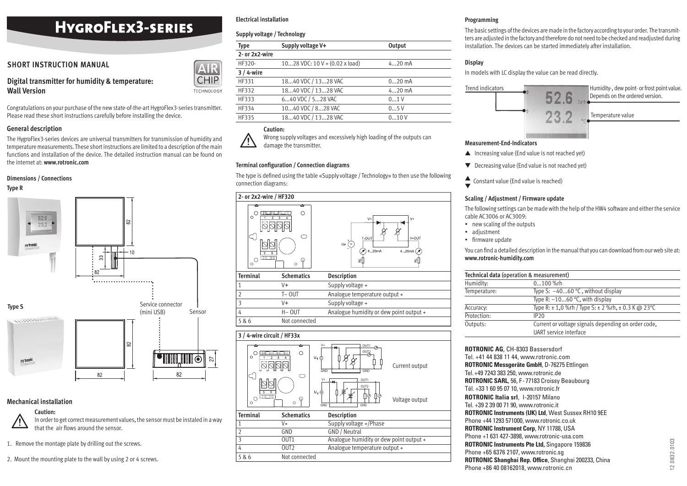# **HYGROFLEX3-SERIES**

# **SHORT INSTRUCTION MANUAL**

# **Wall Version**

#### **General description**

The HygroFlex3-series devices are universal transmitters for transmission of humidity and temperature measurements. These short instructions are limited to a description of the main functions and installation of the device. The detailed instruction manual can be found on the internet at: **www.rotronic.com**

#### **Dimensions / Connections**





## **Mechanical installation**

# $\triangle$ **Caution:**

In order to get correct measurement values, the sensor must be instaled in a way that the air flows around the sensor.

- 1. Remove the montage plate by drilling out the screws.
- 2. Mount the mounting plate to the wall by using 2 or 4 screws.

# **Electrical installation**

### **Supply voltage / Technology**

|                                                                                                                                                                             |             | Type           | Supply voltage V+                     | Output   | installation. The |
|-----------------------------------------------------------------------------------------------------------------------------------------------------------------------------|-------------|----------------|---------------------------------------|----------|-------------------|
|                                                                                                                                                                             |             | 2- or 2x2-wire |                                       |          |                   |
| <b>SHORT INSTRUCTION MANUAL</b>                                                                                                                                             |             | HF320-         | 1028 VDC: 10 V + $(0.02 \times$ load) | $420$ mA | <b>Display</b>    |
|                                                                                                                                                                             | <b>AIR</b>  | $3/4$ -wire    |                                       |          | In models with L  |
| Digital transmitter for humidity & temperature:                                                                                                                             | <b>CHIP</b> | HF331          | 1840 VDC / 1328 VAC                   | $020$ mA |                   |
| <b>Wall Version</b>                                                                                                                                                         | TECHNOLOGY  | HF332          | 1840 VDC / 1328 VAC                   | $420$ mA | Trend indicators  |
|                                                                                                                                                                             |             | HF333          | 640 VDC / 528 VAC                     | 01V      |                   |
| Congratulations on your purchase of the new state-of-the-art HygroFlex3-series transmitter.<br>Please read these short instructions carefully before installing the device. |             | HF334          | 1040 VDC / 828 VAC                    | 05V      |                   |
|                                                                                                                                                                             |             | HF335          | 1840 VDC / 1328 VAC                   | 010V     |                   |

# **Caution:**

 $\sqrt{N}$ Wrong supply voltages and excessively high loading of the outputs can damage the transmitter.

### **Terminal configuration / Connection diagrams**

The type is defined using the table «Supply voltage / Technology» to then use the following connection diagrams:



|       |               | Jupply voltage.                         |
|-------|---------------|-----------------------------------------|
|       | H-OUT         | Analogue humidity or dew point output + |
| 5 & 6 | Not connected |                                         |



## **Programming**

The basic settings of the devices are made in the factory according to your order. The transmitters are adjusted in the factory and therefore do not need to be checked and readjusted during installation. The devices can be started immediately after installation.

# **Display**

In models with LC display the value can be read directly.



#### **Measurement-End-Indicators**

- $\triangle$  Increasing value (End value is not reached yet)
- ▼ Decreasing value (End value is not reached yet)
- ▲ ▼ Constant value (End value is reached)

## **Scaling / Adjustment / Firmware update**

The following settings can be made with the help of the HW4 software and either the service cable AC3006 or AC3009:

- new scaling of the outputs
- adjustment
- firmware update

You can find a detailed description in the manual that you can download from our web site at: **www.rotronic-humidity.com**

|              | Technical data (operation & measurement)                         |
|--------------|------------------------------------------------------------------|
| Humidity:    | 0100 %rh                                                         |
| Temperature: | Type S: $-4060$ °C, without display                              |
|              | Type R: $-1060$ °C, with display                                 |
| Accuracy:    | Type R: $\pm$ 1,0 %rh / Type S: $\pm$ 2 %rh, $\pm$ 0.3 K @ 23 °C |
| Protection:  | IP20                                                             |
| Outputs:     | Current or voltage signals depending on order code,              |
|              | UART service interface                                           |

| Tel. +41 44 838 11 44, www.rotronic.com<br><b>ROTRONIC Messgeräte GmbH, D-76275 Ettlingen</b><br>Tel. +49 7243 383 250, www.rotronic.de<br>ROTRONIC SARL, 56, F-77183 Croissy Beaubourg<br>Tél. +33 1 60 95 07 10, www.rotronic.fr<br><b>ROTRONIC Italia srl. 1-20157 Milano</b><br>Tel. +39 2 39 00 71 90, www.rotronic.it<br><b>ROTRONIC Instruments (UK) Ltd, West Sussex RH10 9EE</b><br>Phone +44 1293 571000, www.rotronic.co.uk<br>ROTRONIC Instrument Corp, NY 11788, USA<br>Phone +1 631 427-3898, www.rotronic-usa.com |
|----------------------------------------------------------------------------------------------------------------------------------------------------------------------------------------------------------------------------------------------------------------------------------------------------------------------------------------------------------------------------------------------------------------------------------------------------------------------------------------------------------------------------------|
|                                                                                                                                                                                                                                                                                                                                                                                                                                                                                                                                  |
|                                                                                                                                                                                                                                                                                                                                                                                                                                                                                                                                  |
|                                                                                                                                                                                                                                                                                                                                                                                                                                                                                                                                  |
|                                                                                                                                                                                                                                                                                                                                                                                                                                                                                                                                  |
|                                                                                                                                                                                                                                                                                                                                                                                                                                                                                                                                  |
|                                                                                                                                                                                                                                                                                                                                                                                                                                                                                                                                  |
|                                                                                                                                                                                                                                                                                                                                                                                                                                                                                                                                  |
|                                                                                                                                                                                                                                                                                                                                                                                                                                                                                                                                  |
|                                                                                                                                                                                                                                                                                                                                                                                                                                                                                                                                  |
|                                                                                                                                                                                                                                                                                                                                                                                                                                                                                                                                  |
| <b>ROTRONIC Instruments Pte Ltd, Singapore 159836</b>                                                                                                                                                                                                                                                                                                                                                                                                                                                                            |
| Phone +65 6376 2107, www.rotronic.sq                                                                                                                                                                                                                                                                                                                                                                                                                                                                                             |
| ROTRONIC Shanghai Rep. Office, Shanghai 200233, China                                                                                                                                                                                                                                                                                                                                                                                                                                                                            |
| Phone +86 40 08162018, www.rotronic.cn                                                                                                                                                                                                                                                                                                                                                                                                                                                                                           |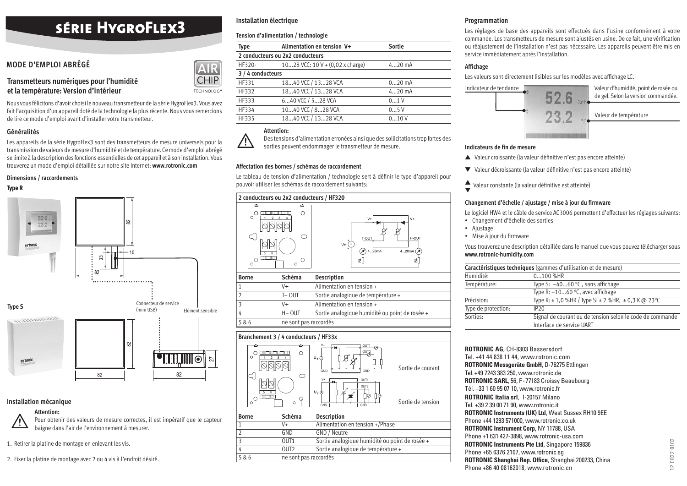# **SÉRIE HYGROFLEX3**

# **MODE D'EMPLOI ABRÉGÉ**

# **Transmetteurs numériques pour l'humidité et la température: Version d'intérieur**

Nous vous félicitons d'avoir choisi le nouveau transmetteur de la série HygroFlex3. Vous avez fait l'acquisition d'un appareil doté de la technologie la plus récente. Nous vous remercions de lire ce mode d'emploi avant d'installer votre transmetteur.

#### **Généralités**

Les appareils de la série HygroFlex3 sont des transmetteurs de mesure universels pour la transmission de valeurs de mesure d'humidité et de température. Ce mode d'emploi abrégé se limite à la description des fonctions essentielles de cet appareil et à son installation. Vous trouverez un mode d'emploi détaillée sur notre site Internet: **www.rotronic.com**

#### **Dimensions / raccordements**

#### **Type R**



#### **Installation mécanique**

#### **Attention:**

 $\triangle$ Pour obtenir des valeurs de mesure correctes, il est impératif que le capteur baigne dans l'air de l'environnement à mesurer.

1. Retirer la platine de montage en enlevant les vis.

2. Fixer la platine de montage avec 2 ou 4 vis à l'endroit désiré.

# **Installation électrique**

### **Tension d'alimentation / technologie**

| Type   | Alimentation en tension V+                 | Sortie   |  |  |  |
|--------|--------------------------------------------|----------|--|--|--|
|        | 2 conducteurs ou 2x2 conducteurs           |          |  |  |  |
| HF320- | 1028 VCC: $10 V + (0.02 x \text{ charge})$ | $420$ mA |  |  |  |
|        | 3 / 4 conducteurs                          |          |  |  |  |
| HF331  | 1840 VCC / 1328 VCA                        | $020$ mA |  |  |  |
| HF332  | 1840 VCC / 1328 VCA                        | $420$ mA |  |  |  |
| HF333  | 640 VCC / 528 VCA                          | 0.1V     |  |  |  |
| HF334  | 1040 VCC / 828 VCA                         | 05V      |  |  |  |
| HF335  | 1840 VCC / 1328 VCA                        | 010V     |  |  |  |

### **Attention:**

 $H$ **TECHNOLOGY** 

> $\bigwedge$ Des tensions d'alimentation erronées ainsi que des sollicitations trop fortes des sorties peuvent endommager le transmetteur de mesure.

#### **Affectation des bornes / schémas de raccordement**

Le tableau de tension d'alimentation / technologie sert à définir le type d'appareil pour pouvoir utiliser les schémas de raccordement suivants:



|       | $V +$                 | Alimentation en tension +                      |
|-------|-----------------------|------------------------------------------------|
|       | $T - 0U$              | Sortie analogique de température +             |
| 3     | V+                    | Alimentation en tension +                      |
| 4     | H- OUT                | Sortie analogique humidité ou point de rosée + |
| 5 & 6 | ne sont pas raccordés |                                                |

#### **Branchement 3 / 4 conducteurs / HF33x**



#### **Programmation**

Les réglages de base des appareils sont effectués dans l'usine conformément à votre commande. Les transmetteurs de mesure sont ajustés en usine. De ce fait, une vérification ou réajustement de l'installation n'est pas nécessaire. Les appareils peuvent être mis en service immédiatement après l'installation.

## **Affi chage**

Les valeurs sont directement lisibles sur les modèles avec affichage LC.



#### **Indicateurs de fin de mesure**

- ▲ Valeur croissante (la valeur définitive n'est pas encore atteinte)
- ▼ Valeur décroissante (la valeur défi nitive n'est pas encore atteinte)
- ▲  $\blacktriangleright$  Valeur constante (la valeur définitive est atteinte)

#### Changement d'échelle / ajustage / mise à jour du firmware

Le logiciel HW4 et le câble de service AC3006 permettent d'effectuer les réglages suivants:

- Changement d'échelle des sorties
- Ajustage
- Mise à jour du firmware

Vous trouverez une description détaillée dans le manuel que vous pouvez télécharger sous **www.rotronic-humidity.com** 

| Caractéristiques techniques (gammes d'utilisation et de mesure) |                                                                                        |  |  |  |
|-----------------------------------------------------------------|----------------------------------------------------------------------------------------|--|--|--|
| Humidité:                                                       | 0100 %HR                                                                               |  |  |  |
| Température:                                                    | Type S: $-4060$ °C, sans affichage                                                     |  |  |  |
|                                                                 | Type R: $-1060$ °C, avec affichage                                                     |  |  |  |
| Précision:                                                      | Type R: $\pm$ 1,0 %HR / Type S: $\pm$ 2 %HR, $\pm$ 0,3 K @ 23 °C                       |  |  |  |
| Type de protection:                                             | IP20                                                                                   |  |  |  |
| Sorties:                                                        | Signal de courant ou de tension selon le code de commande<br>Interface de service UART |  |  |  |

**ROTRONIC AG**, CH-8303 Bassersdorf Tel. +41 44 838 11 44, www.rotronic.com **ROTRONIC Messgeräte GmbH**, D-76275 Ettlingen Tel. +49 7243 383 250, www.rotronic.de **ROTRONIC SARL**, 56, F - 77183 Croissy Beaubourg Tél. +33 1 60 95 07 10, www.rotronic.fr **ROTRONIC Italia srl**, 1-20157 Milano Tel. +39 2 39 00 71 90, www.rotronic.it **ROTRONIC Instruments (UK) Ltd**, West Sussex RH10 9EE Phone +44 1293 571000, www.rotronic.co.uk **ROTRONIC Instrument Corp**, NY 11788, USA Phone +1 631 427-3898, www.rotronic-usa.com **ROTRONIC Instruments Pte Ltd,** Singapore 159836 Phone +65 6376 2107, www.rotronic.sg **ROTRONIC Shanghai Rep. Office, Shanghai 200233, China** Phone +86 40 08162018, www.rotronic.cn